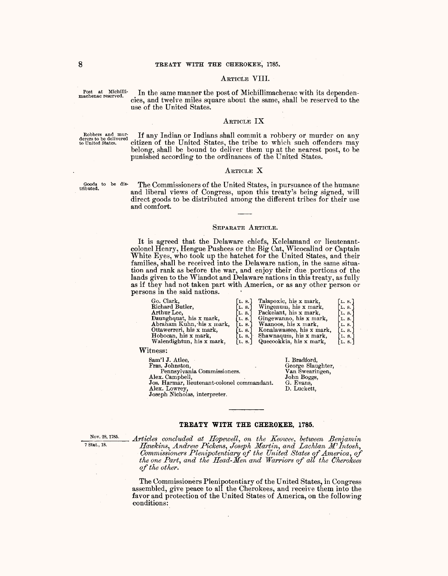## ARTICLE VIII.

Post at Michilli-<br>machenac reserved.

In the same manner the post of Michillimachenac with its dependencies, and twelve miles square about the same, shall be reserved to the use of the United States.

## ARTICLE **IX**

Robbers and mur- If any Indian or Indians shall commit a robbery or murder on any derers to be delivered • citizen of the United States, the tribe to which such offenders may belong, shall be bound to deliver them up at the nearest post, to be punished according to the ordinances of the United States.

### ARTICLE X

Goods to be distributed.

The Commissioners of the United States, in pursuance of the humane and liberal views of Congress, upon this treaty's being signed, will direct goods to be distributed among the different tribes for their use and comfort.

## SEPARATE ARTICLE.

It is agreed that the Delaware chiefs, Kelelamand or lieutenantcolonel Henry, Hengue Pushees or the Big Cat, Wicocalind or Captain White Eyes, who took up the hatchet for the United States, and their families, shall be received into the Delaware nation, in the same situation and rank as before the war, and enjoy their due portions of the lands given to the Wiandot and Delaware nations in this treaty, as fully as if they had not taken part with America, or as any other person or persons in the said nations. '

| Go. Clark,                | [L. $8.$ ] | Talapoxic, his x mark,    | [L. S.                  |
|---------------------------|------------|---------------------------|-------------------------|
| Richard Butler,           | L. 8.      | Wingenum, his x mark,     | $\lceil$ L. 8. $\rceil$ |
| Arthur Lee.               | L. 8.      | Packelant, his x mark,    | $\mathbf{L}$ , s.       |
| Daunghquat, his x mark,   | L.8.1      | Gingewanno, his x mark,   | L. S.                   |
| Abraham Kuhn, his x mark, | L.8.1      | Waanoos, his x mark,      | L.S.                    |
| Ottawerreri, his x mark,  | L. 8.      | Konalawassee, his x mark, | L. S.                   |
| Hobocan, his x mark,      | L. 8.      | Shawnaqum, his x mark,    | [L. 8.]                 |
| Walendightun, his x mark, | L. S.      | Quecookkia, his x mark,   | [L, S.]                 |
|                           |            |                           |                         |

Witness:

| Sam'l J. Atlee.                             | I. Br |
|---------------------------------------------|-------|
| Fras. Johnston,                             | Georg |
| Pennsylvania Commissioners.                 |       |
| Alex. Campbell,                             | John  |
| Jos. Harmar, lieutenant-colonel commandant. | G. E  |
| Alex. Lowrey,                               | D. Lt |
| Joseph Nicholas, interpreter.               |       |
|                                             |       |

#### adford, ge Slaughter, Swearingen, Boggs, vans,  ${\rm a}$ ckett,

# **TREATY WITH THE CHEROKEE, 1785.**

<sup>Nov. 28, 1785.</sup> Articles concluded at Hopewell, on the Keowee, between Benjamin <sup>7</sup> Stat., 18. Happens Andrew Bengamin *Merrian and Lachlan W* Integr <sup>7 Stat., 18.</sup> *Hawkins, Andrew Pickens, Joseph Martin, and Lachlan M'Intosh, Commissioners Plenipotentiary of the United States of America, of the one Part, and the Head-Men and Warriors of all the Cherokees of the otlier.* 

> The Commissioners Plenipotentiary of the United States, in Congress assembled, give peace to all the Cherokees, and receive them into the favor and protection of the United States of America, on the following conditions: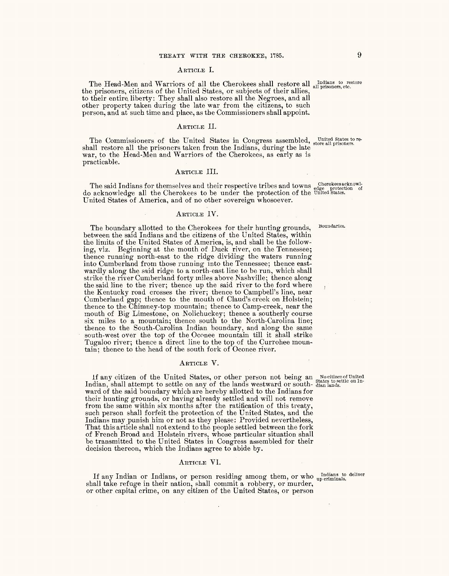#### ARTICLE I.

The Head-Men and Warriors of all the Cherokees shall restore all Indians to restore the prisoners, etc. the prisoners, citizens of the United States, or subjects of their allies, to their entire. liberty: They shall also restore all the Negroes, and all other property taken during the late war from the citizens, to such person, and at such time and place, as the Commissioners shall appoint.

## ARTICLE II.

The Commissioners of the United States in Congress assembled, united States to re-<br>shall restore all the prisoners taken from the Indians, during the late war, to the Head-Men and Warriors of the Cherokees, as early as is practicable.

### ARTICLE III.

The said Indians for themselves and their respective tribes and towns cherokeesacknowldo acknowledge all the Cherokees to be under the protection of the United states. United States of America, and of no other sovereign whosoever.

### ARTICLE IV.

**Boundaries.** 

The boundary allotted to the Cherokees for their hunting grounds, between the said Indians and the citizens of the United States, within the limits of the United States of America, is, and shall be the following, viz. Beginning at the mouth of Duck river, on the Tennessee; thence running north-east to the ridge dividing the waters running into Cumberland from those running into the Tennessee; thence eastwardly along the said ridge to a north-east line to be run, which shall strike the river Cumberland forty miles above Nashville; thence along the said line to the river; thence up the said river to the ford where the Kentucky road crosses the river; thence to Campbell's line, near Cumberland gap; thence to the mouth of Claud's creek on Holstein; thence to the Chimney-top mountain; thence to Camp-creek, near the mouth of Big Limestone, on Nolichuckey; thence a southerly course six miles to a mountain; thence south to the North-Carolina line; thence to the South-Carolina Indian boundary, and along the same south-west over the top of the Oconee mountain till it shall strike Tugaloo river; thence a direct line to the top of the Currohee mountain; thence to the head of the south fork of Oconee river.

## ARTICLE V.

If any citizen of the United States, or other person not being an state of United Indian, shall attempt to settle on any of the lands westward or south-dian lands. ward of the said boundary which are hereby allotted to the Indians for their hunting grounds, or having already settled and will not remove from the same within six months after the ratification of this treaty, such person shall forfeit the protection of the United States, and the Indians may punish him or not as they please: Provided nevertheless, That this article shall not extend to the people settled between the fork of French Broad and Holstein rivers, whose particular situation shall be transmitted to the United States in Congress assembled for their decision thereon, which the Indians agree to abide by.

## ARTICLE VI.

If any Indian or Indians, or person residing among them, or who up criminals. shall take refuge in their nation, shall commit a robbery, or murder, or other capital crime, on any citizen of the United States, or person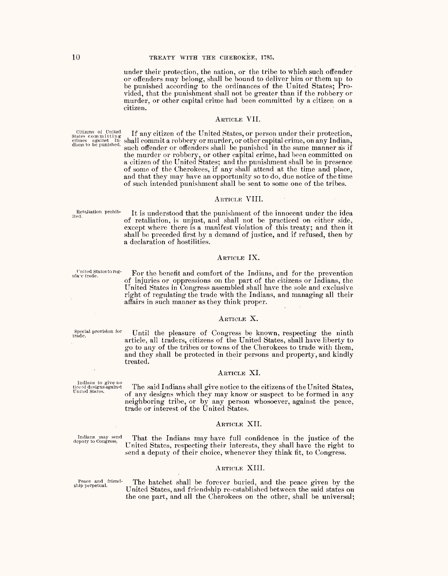under their protection, the nation, or the tribe to which such offender or offenders may belong, shall be bound to deliver him or them up to be punished according to the ordinances of the United States; Provided, that the punishment shall not be greater than if the robbery or murder, or other capital crime had been committed by a citizen on a citizen.

## ARTICLE VII.

If any citizen of the United States, or person under their protection, shall commit a robbery or murder, or other capital crime, on any Indian, such offender or offenders shall be punished in the same manner as if the murder or robbery, or other capital crime, had been committed on<br>a citizen of the United States; and the punishment shall be in presence<br>of some of the Cherokees, if any shall attend at the time and place, and that they may have an opportunity so to do, due notice of the time of such intended punishment shall be sent to some one of the tribes.

## ARTICLE VIII.

It is understood that the punishment of the innocent under the idea of retaliation, is unjust, and shall not be practiced on either side, except where there is a manifest violation of this treaty; and then it shall be preceded first by a demand of justice, and if refused, then by a declaration of hostilities.

### ARTICLE IX.

United States to reg-For the benefit and comfort of the Indians, and for the prevention of injuries or oppressions on the part of the citizens or Indians, the United States in Congress assembled shall have the sole and exclusive right of regulating the trade with the Indians, and managing all their affairs in such manner as they think proper.

## ARTICLE X.

Until the pleasure of Congress be known, respecting the ninth article, all traders, citizens of the United States, shall have liberty to go to any of the tribes or towns of the Cherokees to trade with them. and they shall be protected in their persons and property, and kindly treated.

## ARTICLE XI.

The said Indians shall give notice to the citizens of the United States, of any designs which they may know or suspect to be formed in any neighboring tribe, or by any person whosoever, against the peace, trade or interest of the United States.

### ARTICLE XII.

Indians may send<br>deputy to Congress. That the Indians may have full confidence in the justice of the United States, respecting their interests, they shall have the right to send a deputy of their choice, whenever they think fit, to Congress.

#### ARTICLE XIII.

Peace and friendship perpetual.

The hatchet shall be forever buried, and the peace given by the United States, and friendship re-established between the said states on the one part, and all the Cherokees on the other, shall be universal;

Special provision for<br>trade.

Indians to give no<br>tice of designs against<br>United States.

Citizens of United<br>States committing<br>crimes against In-<br>dians to be punished.

Retaliation prohib-<br>ited.

ulate trade.